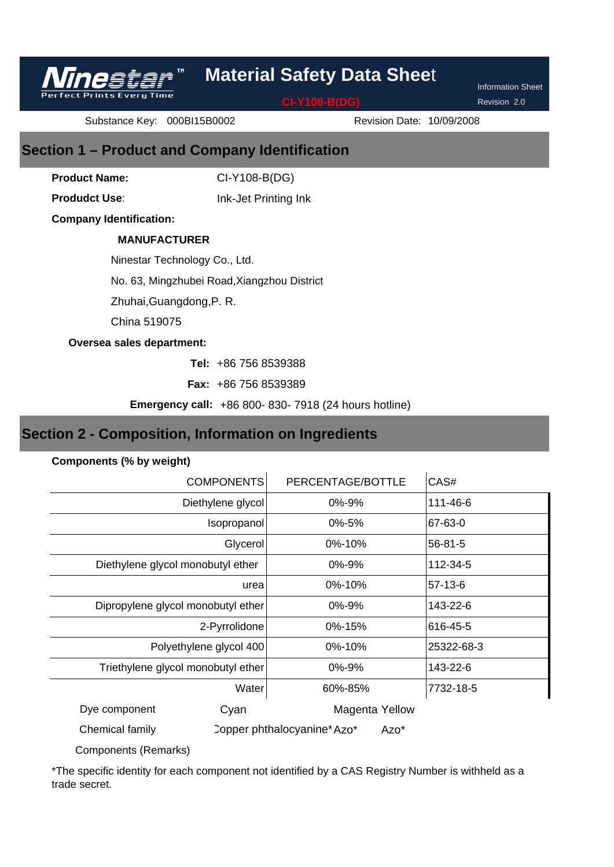

**CI-Y108-B(DG)**

Revision 2.0

Information Sheet

Substance Key: 000BI15B0002

Revision Date: 10/09/2008

## **Section 1 – Product and Company Identification**

CI-Y108-B(DG) **Product Name:**

**Produdct Use**:

Ink-Jet Printing Ink

**Company Identification:**

**Prints Every Time** 

### **MANUFACTURER**

Ninestar Technology Co., Ltd.

No. 63, Mingzhubei Road,Xiangzhou District

Zhuhai,Guangdong,P. R.

China 519075

#### **Oversea sales department:**

+86 756 8539388 **Tel:** 

+86 756 8539389 **Fax:** 

**Emergency call:** +86 800- 830- 7918 (24 hours hotline)

## **Section 2 - Composition, Information on Ingredients**

#### **Components (% by weight)**

| <b>COMPONENTS</b>                  | PERCENTAGE/BOTTLE                  | CAS#          |
|------------------------------------|------------------------------------|---------------|
| Diethylene glycol                  | 0%-9%                              | 111-46-6      |
| Isopropanol                        | 0%-5%                              | 67-63-0       |
| Glycerol                           | 0%-10%                             | $56 - 81 - 5$ |
| Diethylene glycol monobutyl ether  | 0%-9%                              | 112-34-5      |
| urea                               | 0%-10%                             | 57-13-6       |
| Dipropylene glycol monobutyl ether | 0%-9%                              | 143-22-6      |
| 2-Pyrrolidone                      | 0%-15%                             | 616-45-5      |
| Polyethylene glycol 400            | 0%-10%                             | 25322-68-3    |
| Triethylene glycol monobutyl ether | 0%-9%                              | 143-22-6      |
| Water                              | 60%-85%                            | 7732-18-5     |
| Dye component<br>Cyan              | Magenta Yellow                     |               |
| Chemical family                    | Copper phthalocyanine*Azo*<br>Azo* |               |

Components (Remarks)

\*The specific identity for each component not identified by a CAS Registry Number is withheld as a trade secret.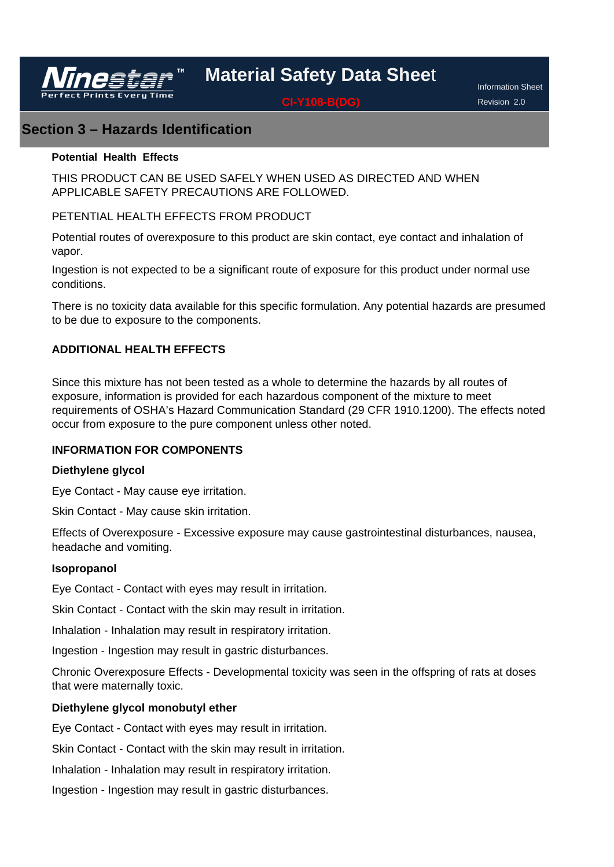

**CI-Y108-B(DG)**

Information Sheet Revision 2.0

## **Section 3 – Hazards Identification**

#### **Potential Health Effects**

THIS PRODUCT CAN BE USED SAFELY WHEN USED AS DIRECTED AND WHEN APPLICABLE SAFETY PRECAUTIONS ARE FOLLOWED.

### PETENTIAL HEALTH EFFECTS FROM PRODUCT

Potential routes of overexposure to this product are skin contact, eye contact and inhalation of vapor.

Ingestion is not expected to be a significant route of exposure for this product under normal use conditions.

There is no toxicity data available for this specific formulation. Any potential hazards are presumed to be due to exposure to the components.

### **ADDITIONAL HEALTH EFFECTS**

Since this mixture has not been tested as a whole to determine the hazards by all routes of exposure, information is provided for each hazardous component of the mixture to meet requirements of OSHA's Hazard Communication Standard (29 CFR 1910.1200). The effects noted occur from exposure to the pure component unless other noted.

#### **INFORMATION FOR COMPONENTS**

#### **Diethylene glycol**

Eye Contact - May cause eye irritation.

Skin Contact - May cause skin irritation.

Effects of Overexposure - Excessive exposure may cause gastrointestinal disturbances, nausea, headache and vomiting.

#### **Isopropanol**

Eye Contact - Contact with eyes may result in irritation.

Skin Contact - Contact with the skin may result in irritation.

Inhalation - Inhalation may result in respiratory irritation.

Ingestion - Ingestion may result in gastric disturbances.

Chronic Overexposure Effects - Developmental toxicity was seen in the offspring of rats at doses that were maternally toxic.

#### **Diethylene glycol monobutyl ether**

Eye Contact - Contact with eyes may result in irritation.

Skin Contact - Contact with the skin may result in irritation.

Inhalation - Inhalation may result in respiratory irritation.

Ingestion - Ingestion may result in gastric disturbances.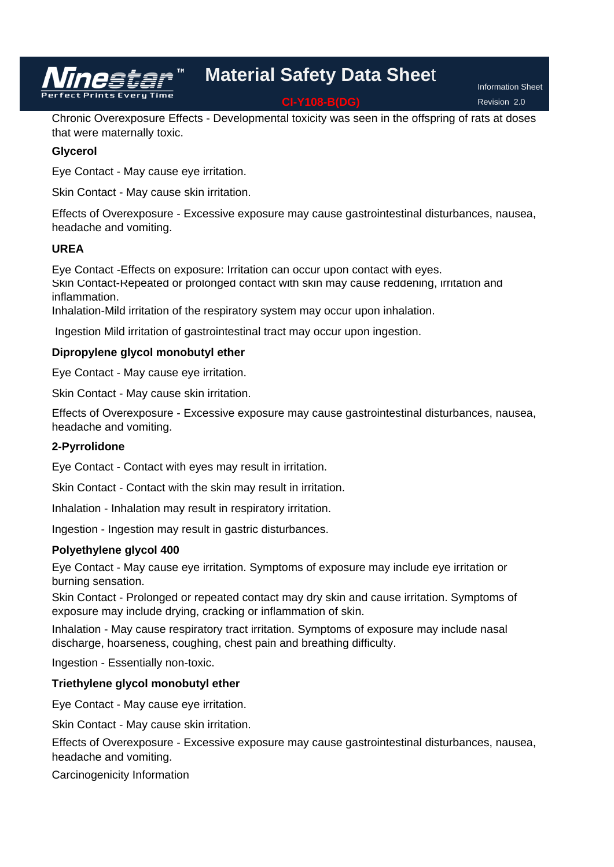**Material Safety Data Shee**t **CI-Y108-B(DG)**

Information Sheet Revision 2.0

Chronic Overexposure Effects - Developmental toxicity was seen in the offspring of rats at doses that were maternally toxic.

#### **Glycerol**

Eye Contact - May cause eye irritation.

Skin Contact - May cause skin irritation.

Effects of Overexposure - Excessive exposure may cause gastrointestinal disturbances, nausea, headache and vomiting.

#### **UREA**

Eye Contact -Effects on exposure: Irritation can occur upon contact with eyes. Skin Contact-Repeated or prolonged contact with skin may cause reddening, irritation and inflammation.

Inhalation-Mild irritation of the respiratory system may occur upon inhalation.

Ingestion Mild irritation of gastrointestinal tract may occur upon ingestion.

#### **Dipropylene glycol monobutyl ether**

Eye Contact - May cause eye irritation.

Skin Contact - May cause skin irritation.

Effects of Overexposure - Excessive exposure may cause gastrointestinal disturbances, nausea, headache and vomiting.

#### **2-Pyrrolidone**

Eye Contact - Contact with eyes may result in irritation.

Skin Contact - Contact with the skin may result in irritation.

Inhalation - Inhalation may result in respiratory irritation.

Ingestion - Ingestion may result in gastric disturbances.

#### **Polyethylene glycol 400**

Eye Contact - May cause eye irritation. Symptoms of exposure may include eye irritation or burning sensation.

Skin Contact - Prolonged or repeated contact may dry skin and cause irritation. Symptoms of exposure may include drying, cracking or inflammation of skin.

Inhalation - May cause respiratory tract irritation. Symptoms of exposure may include nasal discharge, hoarseness, coughing, chest pain and breathing difficulty.

Ingestion - Essentially non-toxic.

#### **Triethylene glycol monobutyl ether**

Eye Contact - May cause eye irritation.

Skin Contact - May cause skin irritation.

Effects of Overexposure - Excessive exposure may cause gastrointestinal disturbances, nausea, headache and vomiting.

Carcinogenicity Information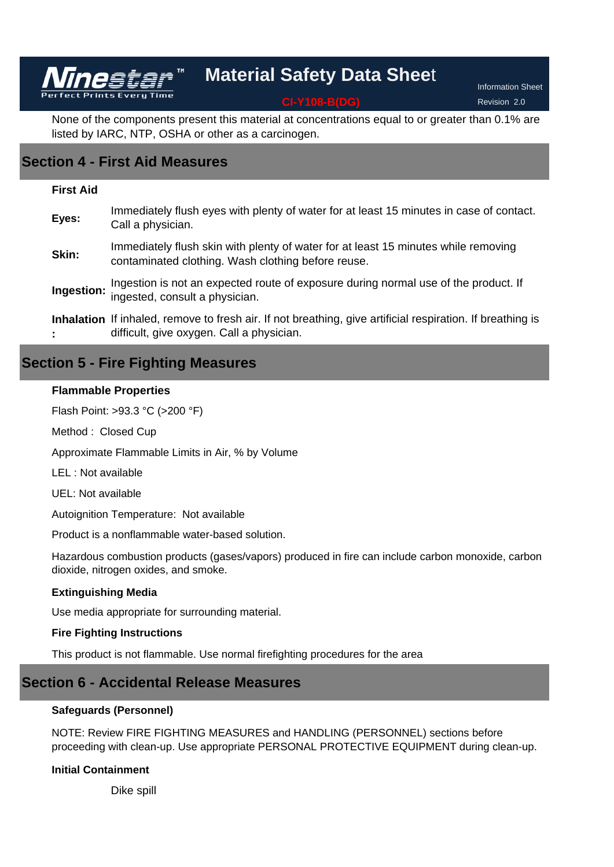**CI-Y108-B(DG)**

Information Sheet Revision 2.0

None of the components present this material at concentrations equal to or greater than 0.1% are listed by IARC, NTP, OSHA or other as a carcinogen.

## **Section 4 - First Aid Measures**

Vinestar

#### **First Aid**

| Eyes: | Immediately flush eyes with plenty of water for at least 15 minutes in case of contact.<br>Call a physician.                                            |
|-------|---------------------------------------------------------------------------------------------------------------------------------------------------------|
| Skin: | Immediately flush skin with plenty of water for at least 15 minutes while removing<br>contaminated clothing. Wash clothing before reuse.                |
|       | Ingestion: Ingestion is not an expected route of exposure during normal use of the product. If Ingested, consult a physician.                           |
|       | Inhalation If inhaled, remove to fresh air. If not breathing, give artificial respiration. If breathing is<br>difficult, give oxygen. Call a physician. |

### **Section 5 - Fire Fighting Measures**

#### **Flammable Properties**

Flash Point: >93.3 °C (>200 °F)

Method : Closed Cup

Approximate Flammable Limits in Air, % by Volume

LEL : Not available

UEL: Not available

Autoignition Temperature: Not available

Product is a nonflammable water-based solution.

Hazardous combustion products (gases/vapors) produced in fire can include carbon monoxide, carbon dioxide, nitrogen oxides, and smoke.

#### **Extinguishing Media**

Use media appropriate for surrounding material.

#### **Fire Fighting Instructions**

This product is not flammable. Use normal firefighting procedures for the area

### **Section 6 - Accidental Release Measures**

#### **Safeguards (Personnel)**

NOTE: Review FIRE FIGHTING MEASURES and HANDLING (PERSONNEL) sections before proceeding with clean-up. Use appropriate PERSONAL PROTECTIVE EQUIPMENT during clean-up.

#### **Initial Containment**

Dike spill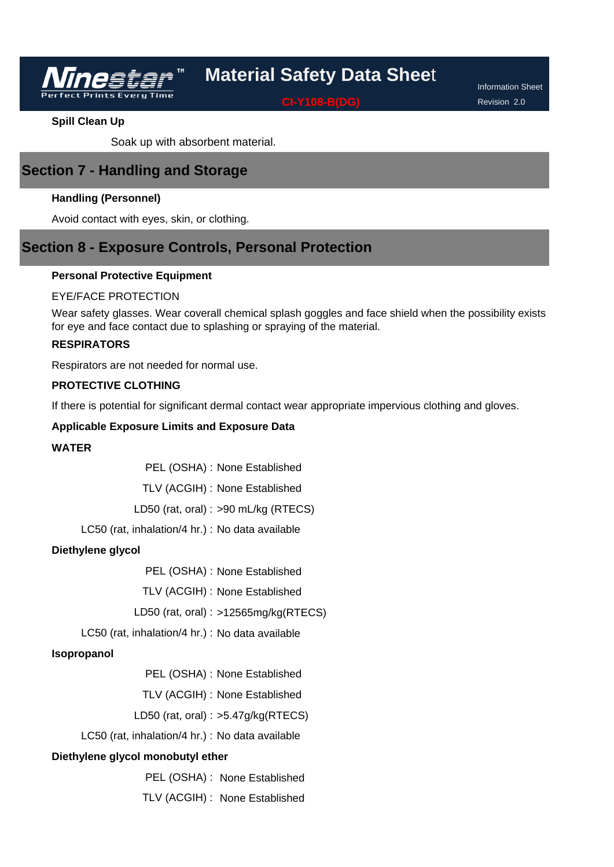**CI-Y108-B(DG)**

Information Sheet Revision 2.0

#### **Spill Clean Up**

Soak up with absorbent material.

## **Section 7 - Handling and Storage**

#### **Handling (Personnel)**

Avoid contact with eyes, skin, or clothing.

## **Section 8 - Exposure Controls, Personal Protection**

#### **Personal Protective Equipment**

#### EYE/FACE PROTECTION

Wear safety glasses. Wear coverall chemical splash goggles and face shield when the possibility exists for eye and face contact due to splashing or spraying of the material.

#### **RESPIRATORS**

Respirators are not needed for normal use.

#### **PROTECTIVE CLOTHING**

If there is potential for significant dermal contact wear appropriate impervious clothing and gloves.

#### **Applicable Exposure Limits and Exposure Data**

#### **WATER**

PEL (OSHA) : None Established

TLV (ACGIH) : None Established

LD50 (rat, oral) : >90 mL/kg (RTECS)

LC50 (rat, inhalation/4 hr.) : No data available

#### **Diethylene glycol**

PEL (OSHA) : None Established

TLV (ACGIH) : None Established

LD50 (rat, oral) : >12565mg/kg(RTECS)

LC50 (rat, inhalation/4 hr.) : No data available

#### **Isopropanol**

PEL (OSHA) : None Established

TLV (ACGIH) : None Established

#### LD50 (rat, oral) : >5.47g/kg(RTECS)

LC50 (rat, inhalation/4 hr.) : No data available

#### **Diethylene glycol monobutyl ether**

PEL (OSHA) : None Established

TLV (ACGIH) : None Established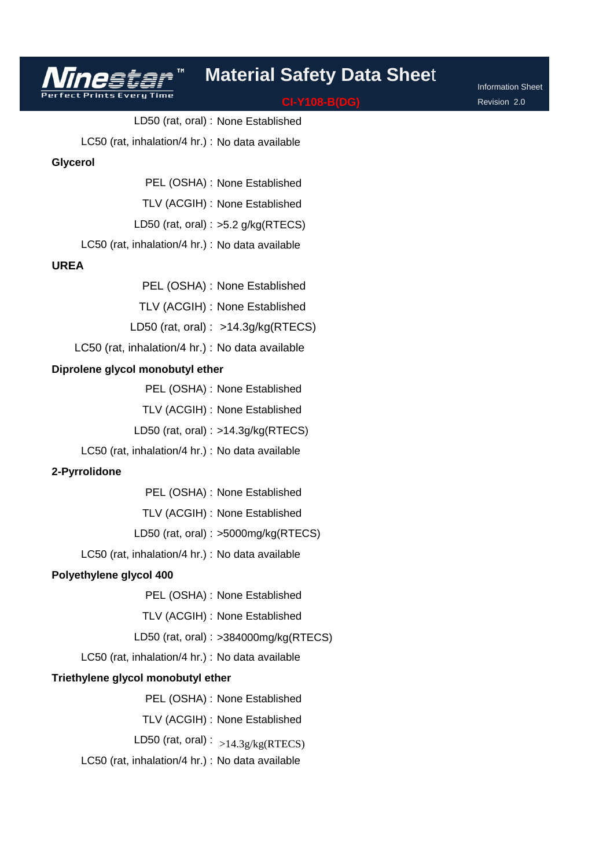#### **CI-Y108-B(DG)**

Information Sheet Revision 2.0

LD50 (rat, oral) : None Established LC50 (rat, inhalation/4 hr.) : No data available **Glycerol**

PEL (OSHA) : None Established

TLV (ACGIH) : None Established

LD50 (rat, oral) :  $>5.2$  g/kg(RTECS)

LC50 (rat, inhalation/4 hr.) : No data available

#### **UREA**

PEL (OSHA) : None Established

TLV (ACGIH) : None Established

LD50 (rat, oral) : >14.3g/kg(RTECS)

LC50 (rat, inhalation/4 hr.) : No data available

#### **Diprolene glycol monobutyl ether**

PEL (OSHA) : None Established

TLV (ACGIH) : None Established

LD50 (rat, oral) : >14.3g/kg(RTECS)

LC50 (rat, inhalation/4 hr.) : No data available

#### **2-Pyrrolidone**

PEL (OSHA) : None Established

TLV (ACGIH) : None Established

LD50 (rat, oral) : >5000mg/kg(RTECS)

LC50 (rat, inhalation/4 hr.) : No data available

#### **Polyethylene glycol 400**

PEL (OSHA) : None Established

TLV (ACGIH) : None Established

LD50 (rat, oral) : >384000mg/kg(RTECS)

LC50 (rat, inhalation/4 hr.) : No data available

#### **Triethylene glycol monobutyl ether**

PEL (OSHA) : None Established

TLV (ACGIH) : None Established

LD50 (rat, oral) :  $_{>14.3g/kg(RTECS)}$ 

LC50 (rat, inhalation/4 hr.) : No data available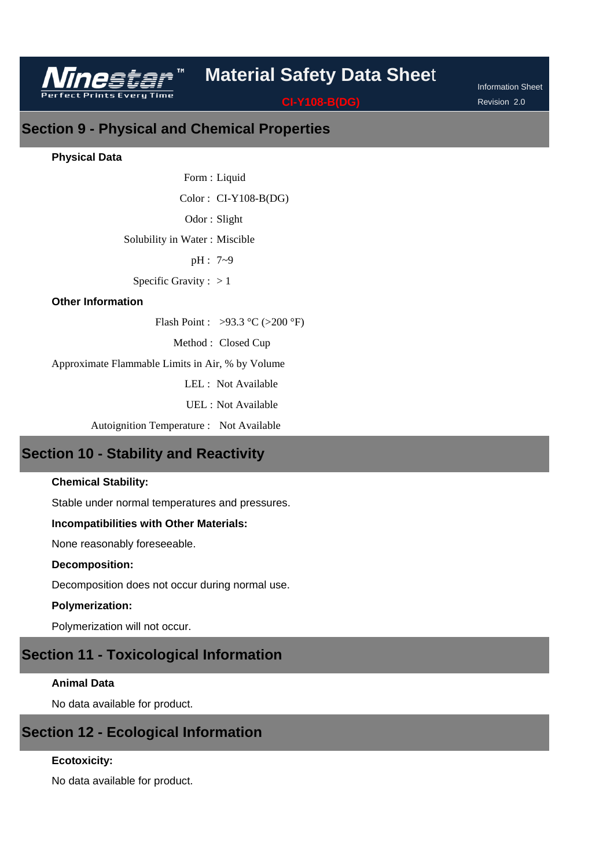

Information Sheet Revision 2.0

# **Section 9 - Physical and Chemical Properties**

#### **Physical Data**

Form : Liquid  $Color: CI-Y108-B(DG)$ Odor: Slight Solubility in Water : Miscible pH : 7~9 Specific Gravity :  $> 1$ 

#### **Other Information**

Flash Point : >93.3 °C (>200 °F)

Method : Closed Cup

Approximate Flammable Limits in Air, % by Volume

LEL : Not Available

UEL : Not Available

Autoignition Temperature : Not Available

## **Section 10 - Stability and Reactivity**

#### **Chemical Stability:**

Stable under normal temperatures and pressures.

#### **Incompatibilities with Other Materials:**

None reasonably foreseeable.

#### **Decomposition:**

Decomposition does not occur during normal use.

#### **Polymerization:**

Polymerization will not occur.

## **Section 11 - Toxicological Information**

#### **Animal Data**

No data available for product.

### **Section 12 - Ecological Information**

#### **Ecotoxicity:**

No data available for product.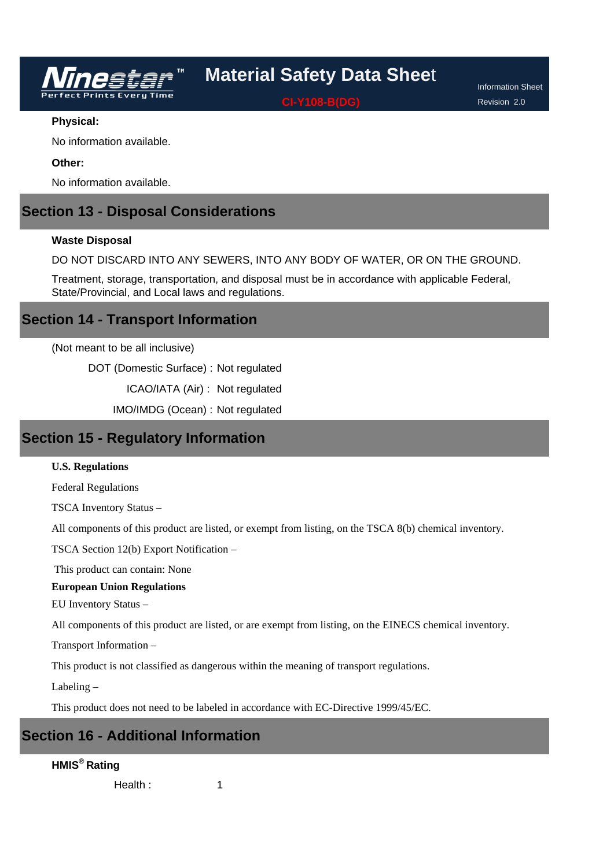

**CI-Y108-B(DG)**

Information Sheet Revision 2.0

#### **Physical:**

No information available.

#### **Other:**

No information available.

## **Section 13 - Disposal Considerations**

#### **Waste Disposal**

DO NOT DISCARD INTO ANY SEWERS, INTO ANY BODY OF WATER, OR ON THE GROUND.

Treatment, storage, transportation, and disposal must be in accordance with applicable Federal, State/Provincial, and Local laws and regulations.

### **Section 14 - Transport Information**

(Not meant to be all inclusive)

DOT (Domestic Surface) : Not regulated

ICAO/IATA (Air) : Not regulated

IMO/IMDG (Ocean) : Not regulated

## **Section 15 - Regulatory Information**

#### **U.S. Regulations**

Federal Regulations

TSCA Inventory Status –

All components of this product are listed, or exempt from listing, on the TSCA 8(b) chemical inventory.

TSCA Section 12(b) Export Notification –

This product can contain: None

#### **European Union Regulations**

EU Inventory Status –

All components of this product are listed, or are exempt from listing, on the EINECS chemical inventory.

Transport Information –

This product is not classified as dangerous within the meaning of transport regulations.

Labeling –

This product does not need to be labeled in accordance with EC-Directive 1999/45/EC.

1

# **Section 16 - Additional Information**

### **HMIS® Rating**

Health :